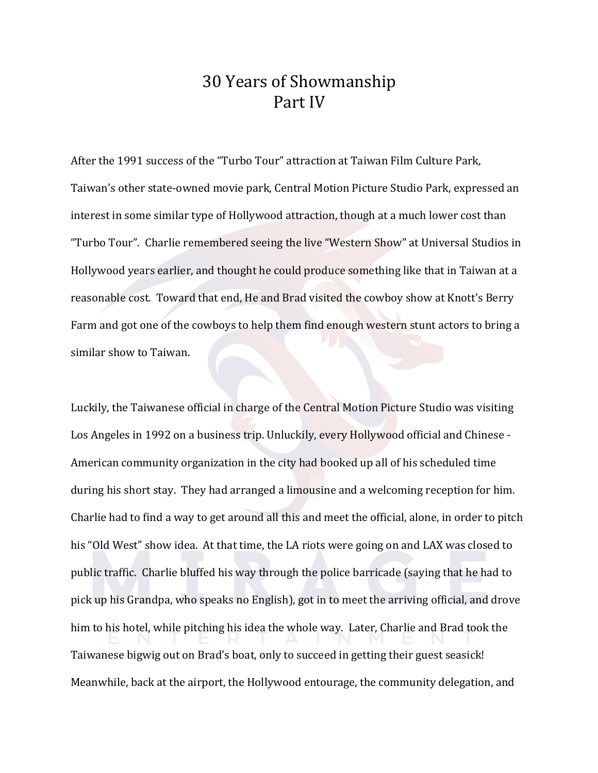## 30 Years of Showmanship Part IV

After the 1991 success of the "Turbo Tour" attraction at Taiwan Film Culture Park, Taiwan's other state-owned movie park, Central Motion Picture Studio Park, expressed an interest in some similar type of Hollywood attraction, though at a much lower cost than "Turbo Tour". Charlie remembered seeing the live "Western Show" at Universal Studios in Hollywood years earlier, and thought he could produce something like that in Taiwan at a reasonable cost. Toward that end, He and Brad visited the cowboy show at Knott's Berry Farm and got one of the cowboys to help them find enough western stunt actors to bring a similar show to Taiwan.

Luckily, the Taiwanese official in charge of the Central Motion Picture Studio was visiting Los Angeles in 1992 on a business trip. Unluckily, every Hollywood official and Chinese -American community organization in the city had booked up all of his scheduled time during his short stay. They had arranged a limousine and a welcoming reception for him. Charlie had to find a way to get around all this and meet the official, alone, in order to pitch his "Old West" show idea. At that time, the LA riots were going on and LAX was closed to public traffic. Charlie bluffed his way through the police barricade (saying that he had to pick up his Grandpa, who speaks no English), got in to meet the arriving official, and drove him to his hotel, while pitching his idea the whole way. Later, Charlie and Brad took the Taiwanese bigwig out on Brad's boat, only to succeed in getting their guest seasick! Meanwhile, back at the airport, the Hollywood entourage, the community delegation, and